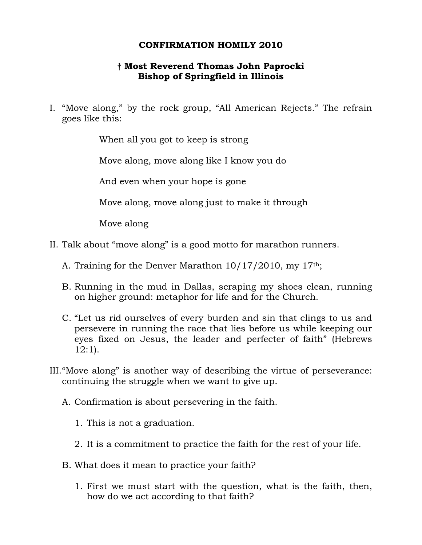## **CONFIRMATION HOMILY 2010**

## **† Most Reverend Thomas John Paprocki Bishop of Springfield in Illinois**

I. "Move along," by the rock group, "All American Rejects." The refrain goes like this:

When all you got to keep is strong

Move along, move along like I know you do

And even when your hope is gone

Move along, move along just to make it through

Move along

- II. Talk about "move along" is a good motto for marathon runners.
	- A. Training for the Denver Marathon  $10/17/2010$ , my  $17<sup>th</sup>$ ;
	- B. Running in the mud in Dallas, scraping my shoes clean, running on higher ground: metaphor for life and for the Church.
	- C. "Let us rid ourselves of every burden and sin that clings to us and persevere in running the race that lies before us while keeping our eyes fixed on Jesus, the leader and perfecter of faith" (Hebrews 12:1).
- III."Move along" is another way of describing the virtue of perseverance: continuing the struggle when we want to give up.
	- A. Confirmation is about persevering in the faith.
		- 1. This is not a graduation.
		- 2. It is a commitment to practice the faith for the rest of your life.
	- B. What does it mean to practice your faith?
		- 1. First we must start with the question, what is the faith, then, how do we act according to that faith?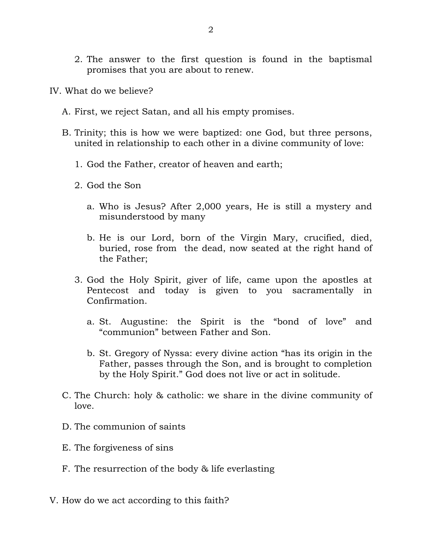- 2. The answer to the first question is found in the baptismal promises that you are about to renew.
- IV. What do we believe?
	- A. First, we reject Satan, and all his empty promises.
	- B. Trinity; this is how we were baptized: one God, but three persons, united in relationship to each other in a divine community of love:
		- 1. God the Father, creator of heaven and earth;
		- 2. God the Son
			- a. Who is Jesus? After 2,000 years, He is still a mystery and misunderstood by many
			- b. He is our Lord, born of the Virgin Mary, crucified, died, buried, rose from the dead, now seated at the right hand of the Father;
		- 3. God the Holy Spirit, giver of life, came upon the apostles at Pentecost and today is given to you sacramentally in Confirmation.
			- a. St. Augustine: the Spirit is the "bond of love" and "communion" between Father and Son.
			- b. St. Gregory of Nyssa: every divine action "has its origin in the Father, passes through the Son, and is brought to completion by the Holy Spirit." God does not live or act in solitude.
	- C. The Church: holy & catholic: we share in the divine community of love.
	- D. The communion of saints
	- E. The forgiveness of sins
	- F. The resurrection of the body & life everlasting
- V. How do we act according to this faith?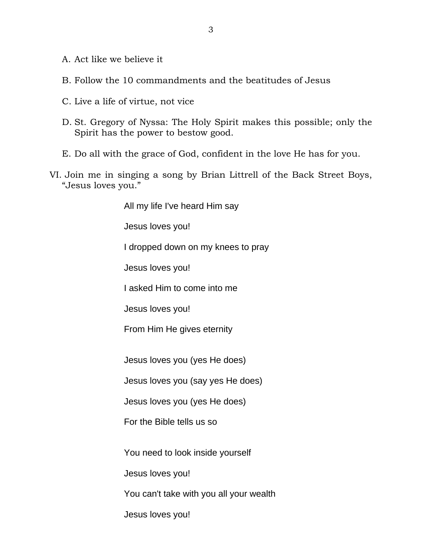- A. Act like we believe it
- B. Follow the 10 commandments and the beatitudes of Jesus
- C. Live a life of virtue, not vice
- D. St. Gregory of Nyssa: The Holy Spirit makes this possible; only the Spirit has the power to bestow good.
- E. Do all with the grace of God, confident in the love He has for you.
- VI. Join me in singing a song by Brian Littrell of the Back Street Boys, "Jesus loves you."

All my life I've heard Him say

Jesus loves you!

I dropped down on my knees to pray

Jesus loves you!

I asked Him to come into me

Jesus loves you!

From Him He gives eternity

Jesus loves you (yes He does)

Jesus loves you (say yes He does)

Jesus loves you (yes He does)

For the Bible tells us so

You need to look inside yourself

Jesus loves you!

You can't take with you all your wealth

Jesus loves you!